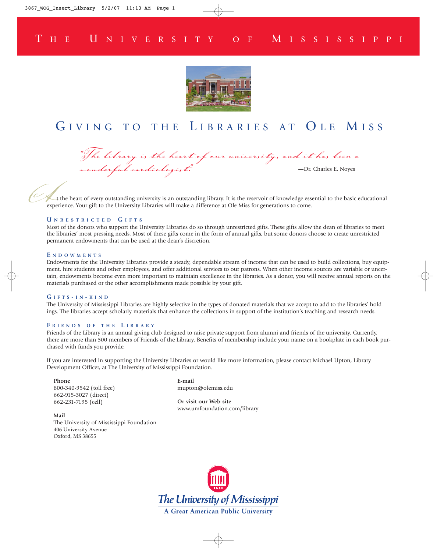### T H E U NIVERSITY OF M ISSISSIPPI



## GIVING TO THE LIBRARIES AT OLE MISS

*"The library is the heart of our university, and it has been a wonderful cardiologist."* —Dr. Charles E. Noyes

 $A_t$ t the heart of every outstanding university is an outstanding library. It is the reservoir of knowledge essential to the basic educational experience. Your gift to the University Libraries will make a difference at Ole Miss for generations to come.

#### **U NRESTRICTED G IFTS**

Most of the donors who support the University Libraries do so through unrestricted gifts. These gifts allow the dean of libraries to meet the libraries' most pressing needs. Most of these gifts come in the form of annual gifts, but some donors choose to create unrestricted permanent endowments that can be used at the dean's discretion.

#### **E NDOWMENTS**

Endowments for the University Libraries provide a steady, dependable stream of income that can be used to build collections, buy equipment, hire students and other employees, and offer additional services to our patrons. When other income sources are variable or uncertain, endowments become even more important to maintain excellence in the libraries. As a donor, you will receive annual reports on the materials purchased or the other accomplishments made possible by your gift.

#### **G IFTS - I N - KIND**

The University of Mississippi Libraries are highly selective in the types of donated materials that we accept to add to the libraries' holdings. The libraries accept scholarly materials that enhance the collections in support of the institution's teaching and research needs.

#### **F RIENDS OF THE L IBRARY**

Friends of the Library is an annual giving club designed to raise private support from alumni and friends of the university. Currently, there are more than 500 members of Friends of the Library. Benefits of membership include your name on a bookplate in each book purchased with funds you provide.

If you are interested in supporting the University Libraries or would like more information, please contact Michael Upton, Library Development Officer, at The University of Mississippi Foundation.

**Phone** 800-340-9542 (toll free) 662-915-3027 (direct) 662-231-7195 (cell)

**E-mail** mupton@olemiss.edu

**Or visit our Web site** www.umfoundation.com/library

**Mail** The University of Mississippi Foundation 406 University Avenue Oxford, MS 38655